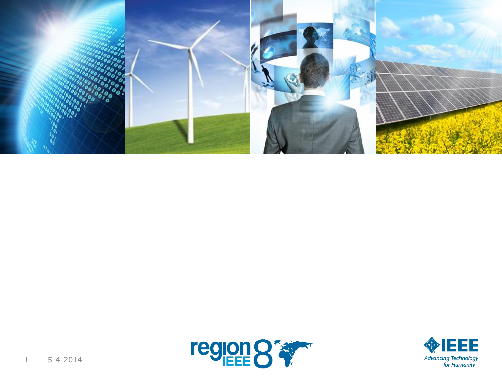



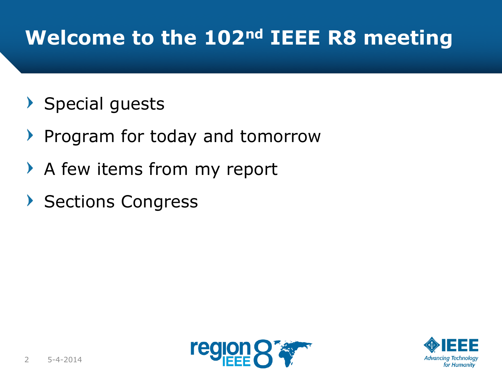# **Welcome to the 102nd IEEE R8 meeting**

- Special guests
- Program for today and tomorrow  $\blacktriangleright$
- A few items from my report
- Sections Congress



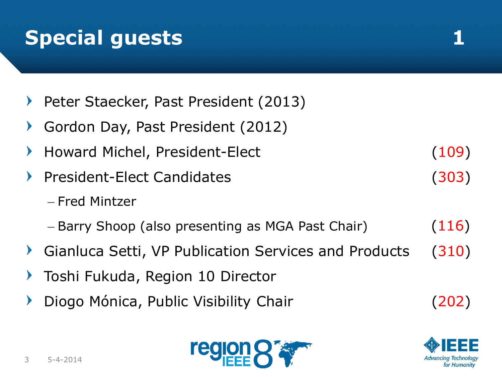

- Peter Staecker, Past President (2013)
- Gordon Day, Past President (2012)  $\blacktriangleright$
- Howard Michel, President-Elect (109)  $\blacktriangleright$
- President-Elect Candidates (303)  $\blacktriangleright$ 
	- Fred Mintzer
	- $-$  Barry Shoop (also presenting as MGA Past Chair) (116)
- Gianluca Setti, VP Publication Services and Products (310)  $\blacktriangleright$
- Toshi Fukuda, Region 10 Director  $\blacktriangleright$
- Diogo Mónica, Public Visibility Chair (202) $\blacktriangleright$



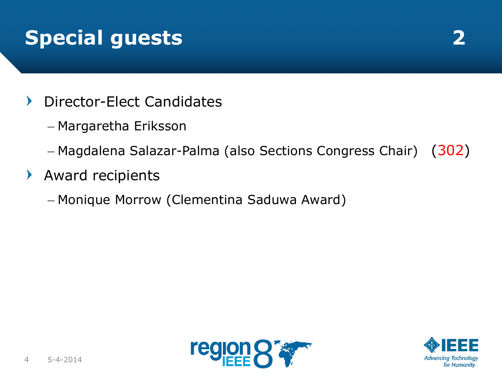- Director-Elect Candidates  $\blacktriangleright$ 
	- Margaretha Eriksson
	- Magdalena Salazar-Palma (also Sections Congress Chair) (302)
- $\blacktriangleright$ Award recipients
	- Monique Morrow (Clementina Saduwa Award)



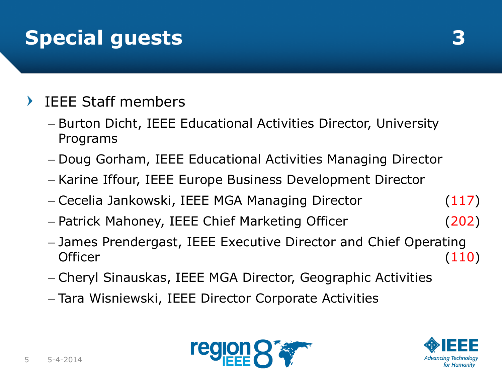#### $\blacktriangleright$ IEEE Staff members

- Burton Dicht, IEEE Educational Activities Director, University Programs
- Doug Gorham, IEEE Educational Activities Managing Director
- Karine Iffour, IEEE Europe Business Development Director
- Cecelia Jankowski, IEEE MGA Managing Director (117)
- Patrick Mahoney, IEEE Chief Marketing Officer (202)
- James Prendergast, IEEE Executive Director and Chief Operating Officer (110)
- Cheryl Sinauskas, IEEE MGA Director, Geographic Activities
- Tara Wisniewski, IEEE Director Corporate Activities



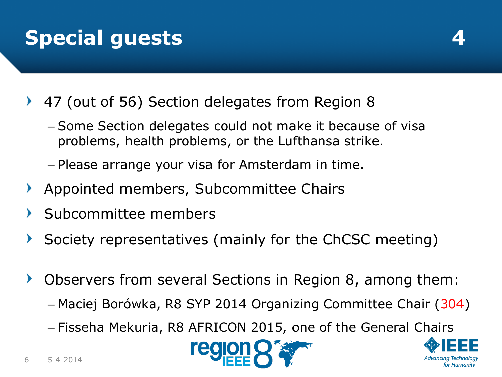

- 47 (out of 56) Section delegates from Region 8
	- Some Section delegates could not make it because of visa problems, health problems, or the Lufthansa strike.
	- Please arrange your visa for Amsterdam in time.
- Appointed members, Subcommittee Chairs  $\blacktriangleright$
- Subcommittee members  $\blacktriangleright$
- Society representatives (mainly for the ChCSC meeting)  $\blacktriangleright$
- Observers from several Sections in Region 8, among them:  $\blacktriangleright$ 
	- Maciej Borówka, R8 SYP 2014 Organizing Committee Chair (304)
	- Fisseha Mekuria, R8 AFRICON 2015, one of the General Chairs



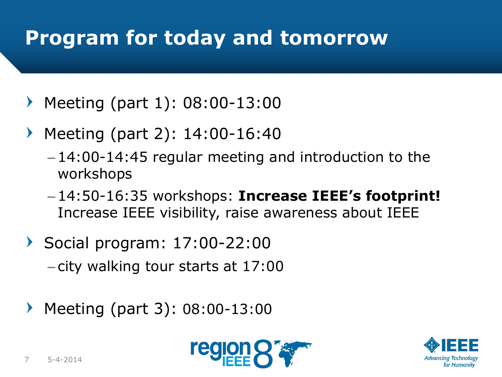# **Program for today and tomorrow**

- Meeting (part 1): 08:00-13:00
- Meeting (part 2): 14:00-16:40  $\blacktriangleright$ 
	- 14:00-14:45 regular meeting and introduction to the workshops
	- 14:50-16:35 workshops: **Increase IEEE's footprint!**  Increase IEEE visibility, raise awareness about IEEE
- Social program: 17:00-22:00 – city walking tour starts at 17:00
- Meeting (part 3): 08:00-13:00



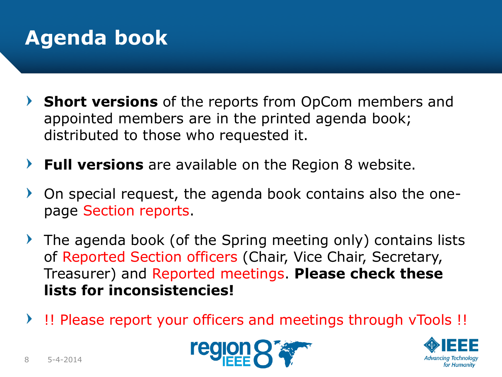# **Agenda book**

- **Short versions** of the reports from OpCom members and appointed members are in the printed agenda book; distributed to those who requested it.
- **Full versions** are available on the Region 8 website.  $\blacktriangleright$
- On special request, the agenda book contains also the one- $\blacktriangleright$ page Section reports.
- The agenda book (of the Spring meeting only) contains lists  $\blacktriangleright$ of Reported Section officers (Chair, Vice Chair, Secretary, Treasurer) and Reported meetings. **Please check these lists for inconsistencies!**
- !! Please report your officers and meetings through vTools !!



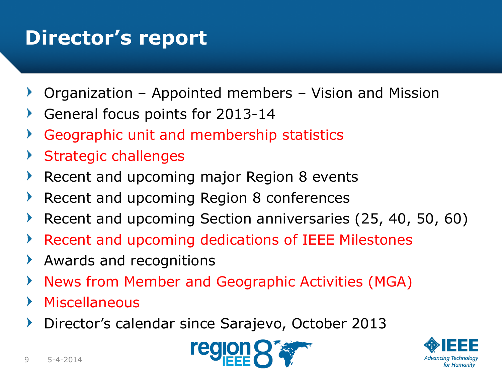# **Director's report**

- Organization Appointed members Vision and Mission  $\blacktriangleright$
- General focus points for 2013-14  $\blacktriangleright$
- Geographic unit and membership statistics  $\blacktriangleright$
- $\blacktriangleright$ Strategic challenges
- $\blacktriangleright$ Recent and upcoming major Region 8 events
- Recent and upcoming Region 8 conferences  $\blacktriangleright$
- Recent and upcoming Section anniversaries (25, 40, 50, 60)  $\blacktriangleright$
- Recent and upcoming dedications of IEEE Milestones  $\blacktriangleright$
- Awards and recognitions  $\blacktriangleright$
- News from Member and Geographic Activities (MGA)  $\blacktriangleright$
- $\blacktriangleright$ Miscellaneous
- Director's calendar since Sarajevo, October 2013 $\blacktriangleright$



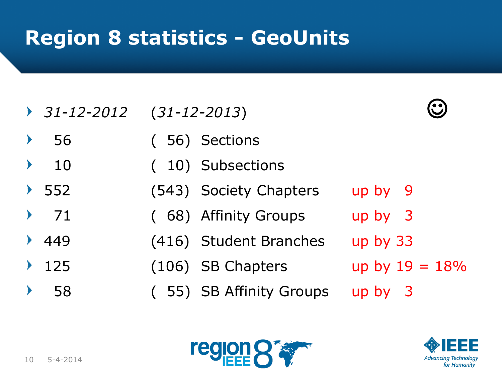# **Region 8 statistics - GeoUnits**

#### $\blacktriangleright$ *31-12-2012* (*31-12-2013*)

- $\blacktriangleright$ 56 ( 56) Sections
- $\blacktriangleright$ 10 ( 10) Subsections
- 552 (543) Society Chapters up by 9  $\blacktriangleright$
- $\blacktriangleright$ 71 ( 68) Affinity Groups up by 3
- 449 (416) Student Branches up by 33
- 125 (106) SB Chapters up by  $19 = 18\%$  $\blacktriangleright$
- 58 ( 55) SB Affinity Groups up by 3 $\blacktriangleright$
- 
- -



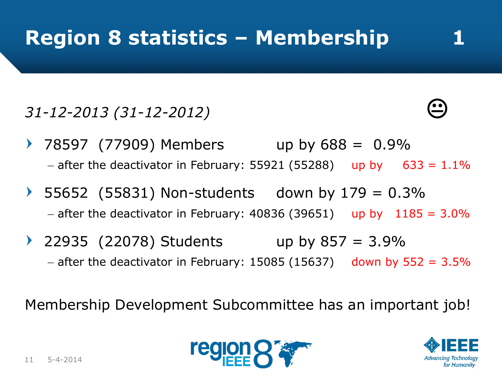# **Region 8 statistics – Membership 1**

*31-12-2013 (31-12-2012)*

- 
- 78597 (77909) Members up by 688 = 0.9%  $\blacktriangleright$ – after the deactivator in February: 55921 (55288) up by  $633 = 1.1\%$
- 55652 (55831) Non-students down by 179 = 0.3%  $\blacktriangleright$ – after the deactivator in February:  $40836 (39651)$  up by  $1185 = 3.0\%$
- $22935$  (22078) Students up by 857 = 3.9% – after the deactivator in February: 15085 (15637) down by  $552 = 3.5\%$

Membership Development Subcommittee has an important job!



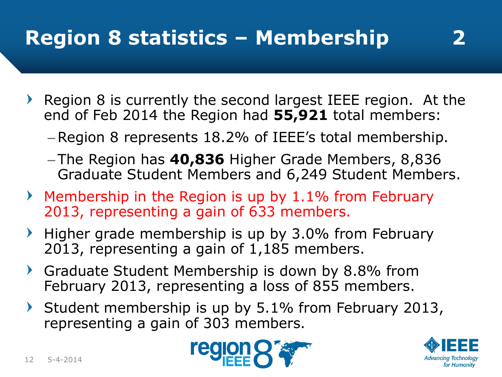# **Region 8 statistics – Membership 2**

- Region 8 is currently the second largest IEEE region. At the end of Feb 2014 the Region had **55,921** total members:
	- –Region 8 represents 18.2% of IEEE's total membership.
	- The Region has **40,836** Higher Grade Members, 8,836 Graduate Student Members and 6,249 Student Members.
- Membership in the Region is up by 1.1% from February 2013, representing a gain of 633 members.
- Higher grade membership is up by 3.0% from February 2013, representing a gain of 1,185 members.
- Graduate Student Membership is down by 8.8% from  $\blacktriangleright$ February 2013, representing a loss of 855 members.
- Student membership is up by 5.1% from February 2013,  $\blacktriangleright$ representing a gain of 303 members.



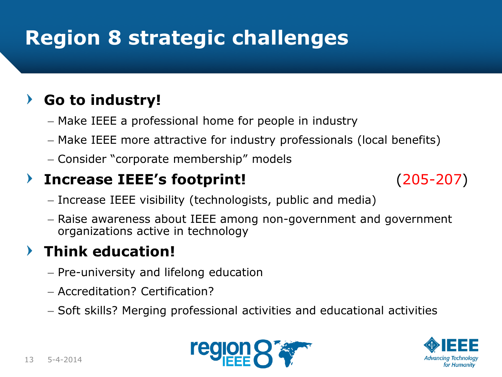# **Region 8 strategic challenges**

## **Go to industry!**

- Make IEEE a professional home for people in industry
- Make IEEE more attractive for industry professionals (local benefits)
- Consider "corporate membership" models

#### **Increase IEEE's footprint!** (205-207)  $\blacktriangleright$

- Increase IEEE visibility (technologists, public and media)
- Raise awareness about IEEE among non-government and government organizations active in technology

## **Think education!**

- Pre-university and lifelong education
- Accreditation? Certification?
- Soft skills? Merging professional activities and educational activities



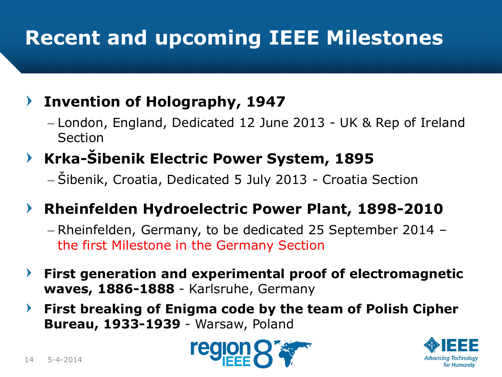# **Recent and upcoming IEEE Milestones**

## **Invention of Holography, 1947**

– London, England, Dedicated 12 June 2013 - UK & Rep of Ireland **Section** 

## **Krka-Šibenik Electric Power System, 1895**

– Šibenik, Croatia, Dedicated 5 July 2013 - Croatia Section

#### **Rheinfelden Hydroelectric Power Plant, 1898-2010**  $\blacktriangleright$

- Rheinfelden, Germany, to be dedicated 25 September 2014 the first Milestone in the Germany Section
- $\blacktriangleright$ **First generation and experimental proof of electromagnetic waves, 1886-1888** - Karlsruhe, Germany
- **First breaking of Enigma code by the team of Polish Cipher**   $\blacktriangleright$ **Bureau, 1933-1939** - Warsaw, Poland



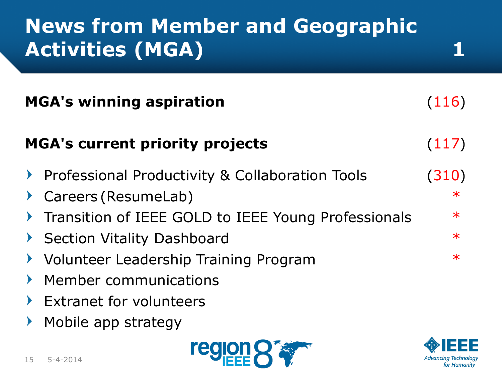# **News from Member and Geographic Activities (MGA) 1**

| <b>MGA's winning aspiration</b>        |                                                     | (116)  |
|----------------------------------------|-----------------------------------------------------|--------|
| <b>MGA's current priority projects</b> |                                                     | (117)  |
|                                        | Professional Productivity & Collaboration Tools     | (310)  |
| $\sum_{i=1}^{n}$                       | Careers (ResumeLab)                                 | ∗      |
|                                        | Transition of IEEE GOLD to IEEE Young Professionals | $\ast$ |
|                                        | Section Vitality Dashboard                          | $\ast$ |
|                                        | ▶ Volunteer Leadership Training Program             | $\ast$ |
|                                        | Member communications                               |        |
| $\sum_{i=1}^{n}$                       | <b>Extranet for volunteers</b>                      |        |
|                                        | Mobile app strategy                                 |        |
|                                        |                                                     |        |

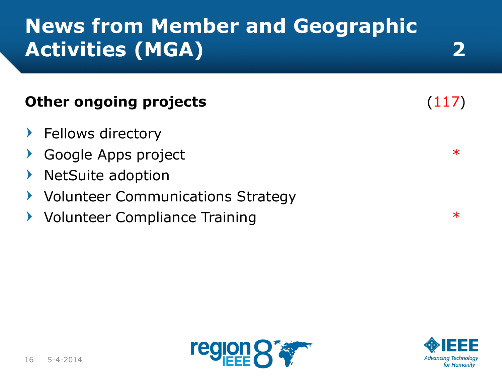# **News from Member and Geographic Activities (MGA) 2**

### **Other ongoing projects** (117)

- Fellows directory  $\blacktriangleright$
- Google Apps project  $*$  $\blacktriangleright$
- NetSuite adoption  $\blacktriangleright$
- Volunteer Communications Strategy  $\blacktriangleright$
- Volunteer Compliance Training  $*$





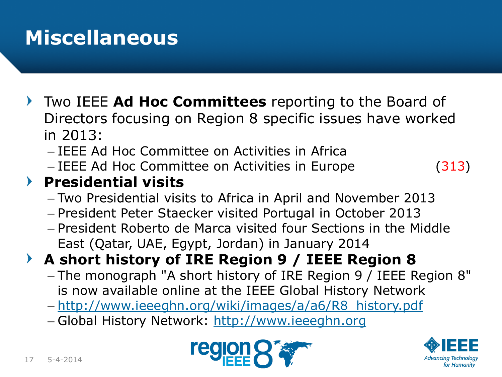# **Miscellaneous**

- Two IEEE **Ad Hoc Committees** reporting to the Board of Directors focusing on Region 8 specific issues have worked in 2013:
	- IEEE Ad Hoc Committee on Activities in Africa
	- IEEE Ad Hoc Committee on Activities in Europe (313)

## **Presidential visits**

- Two Presidential visits to Africa in April and November 2013
- President Peter Staecker visited Portugal in October 2013
- President Roberto de Marca visited four Sections in the Middle East (Qatar, UAE, Egypt, Jordan) in January 2014

#### **A short history of IRE Region 9 / IEEE Region 8**  $\blacktriangleright$

- The monograph "A short history of IRE Region 9 / IEEE Region 8" is now available online at the IEEE Global History Network
- [http://www.ieeeghn.org/wiki/images/a/a6/R8\\_history.pdf](http://www.ieeeghn.org/wiki/images/a/a6/R8_history.pdf)
- Global History Network: [http://www.ieeeghn.org](http://www.ieeeghn.org/)



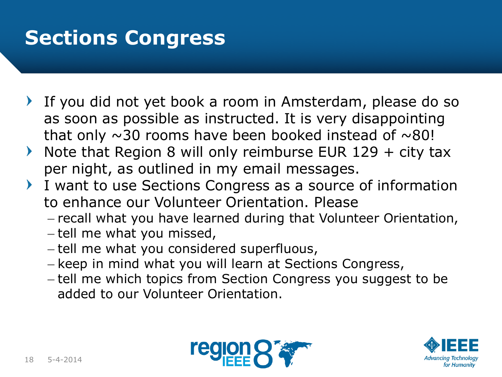# **Sections Congress**

- If you did not yet book a room in Amsterdam, please do so as soon as possible as instructed. It is very disappointing that only  $\sim$ 30 rooms have been booked instead of  $\sim$ 80!
- Note that Region 8 will only reimburse EUR 129 + city tax per night, as outlined in my email messages.
- I want to use Sections Congress as a source of information to enhance our Volunteer Orientation. Please
	- recall what you have learned during that Volunteer Orientation,
	- tell me what you missed,
	- tell me what you considered superfluous,
	- keep in mind what you will learn at Sections Congress,
	- tell me which topics from Section Congress you suggest to be added to our Volunteer Orientation.